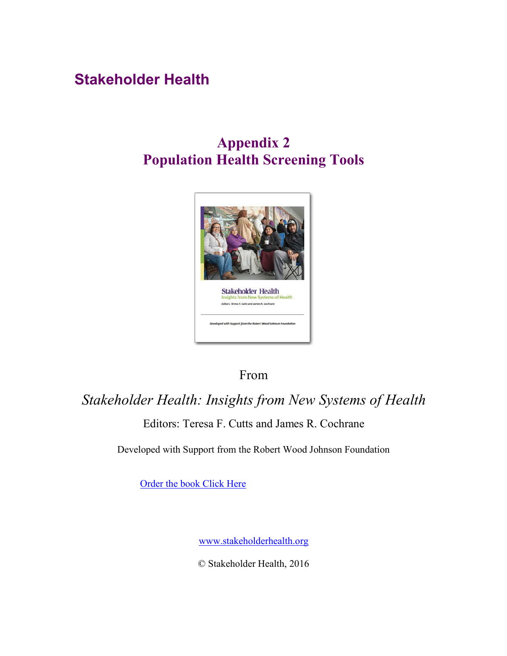# **Stakeholder Health**

# **Appendix 2 Population Health Screening Tools**



# From

# *Stakeholder Health: Insights from New Systems of Health* Editors: Teresa F. Cutts and James R. Cochrane

Developed with Support from the Robert Wood Johnson Foundation

Order the [book Click Here](https://www.amazon.com/Stakeholder-Health-Insights-New-Systems/dp/069270728X?ie=UTF8&keywords=%26%2334%3Bstakeholder%20health%26%2334%3B&qid=1464881294&ref_=sr_1_2&s=books&sr=1-2)

[www.stakeholderhealth.org](http://www.stakeholderhealth.org/)

© Stakeholder Health, 2016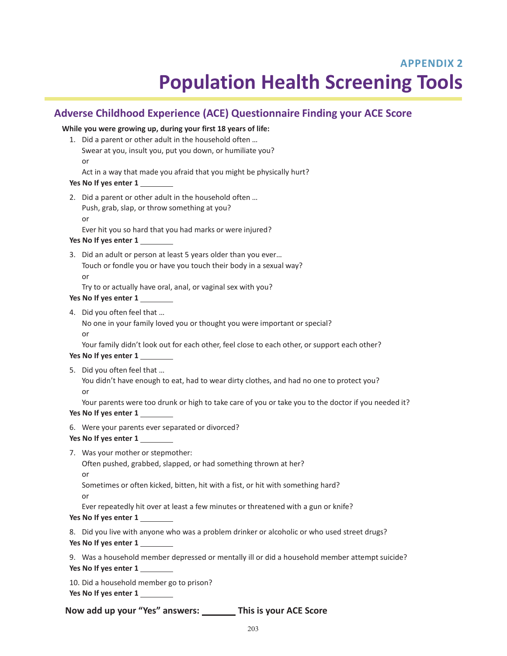# **APPENDIX 2 Population Health Screening Tools**

## **Adverse Childhood Experience (ACE) Questionnaire Finding your ACE Score**

## **While you were growing up, during your first 18 years of life:** 1. Did a parent or other adult in the household often … Swear at you, insult you, put you down, or humiliate you? or Act in a way that made you afraid that you might be physically hurt? **Yes No If yes enter 1**  2. Did a parent or other adult in the household often … Push, grab, slap, or throw something at you? or Ever hit you so hard that you had marks or were injured? **Yes No If yes enter 1**  3. Did an adult or person at least 5 years older than you ever…

Touch or fondle you or have you touch their body in a sexual way? or

Try to or actually have oral, anal, or vaginal sex with you?

- **Yes No If yes enter 1**
- 4. Did you often feel that …

No one in your family loved you or thought you were important or special?

or

Your family didn't look out for each other, feel close to each other, or support each other?

## **Yes No If yes enter 1**

- 5. Did you often feel that …
	- You didn't have enough to eat, had to wear dirty clothes, and had no one to protect you? or

Your parents were too drunk or high to take care of you or take you to the doctor if you needed it? **Yes No If yes enter 1** 

- 6. Were your parents ever separated or divorced?
- **Yes No If yes enter 1**
- 7. Was your mother or stepmother:

Often pushed, grabbed, slapped, or had something thrown at her?

or

Sometimes or often kicked, bitten, hit with a fist, or hit with something hard?

or

Ever repeatedly hit over at least a few minutes or threatened with a gun or knife?

## **Yes No If yes enter 1**

8. Did you live with anyone who was a problem drinker or alcoholic or who used street drugs?

**Yes No If yes enter 1** 

9. Was a household member depressed or mentally ill or did a household member attempt suicide?

**Yes No If yes enter 1** 

10. Did a household member go to prison?

**Yes No If yes enter 1** 

**Now add up your "Yes" answers: This is your ACE Score**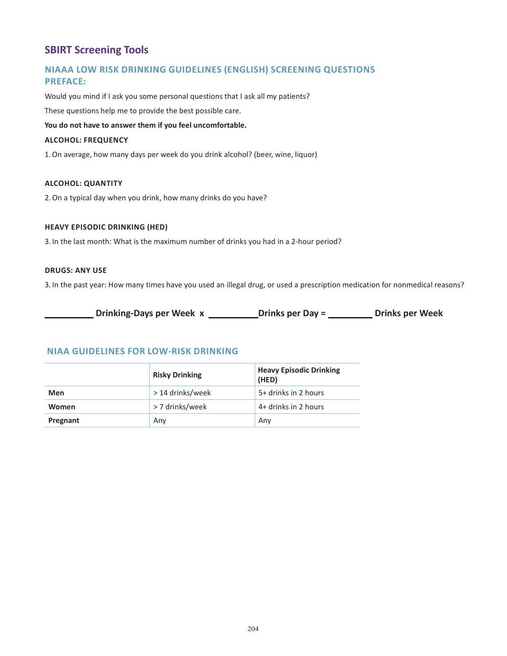## **SBIRT Screening Tools**

## **NIAAA LOW RISK DRINKING GUIDELINES (ENGLISH) SCREENING QUESTIONS PREFACE:**

Would you mind if I ask you some personal questions that I ask all my patients?

These questions help me to provide the best possible care.

## **You do not have to answer them if you feel uncomfortable.**

### **ALCOHOL: FREQUENCY**

1.On average, how many days per week do you drink alcohol? (beer, wine, liquor)

### **ALCOHOL: QUANTITY**

2.On a typical day when you drink, how many drinks do you have?

### **HEAVY EPISODIC DRINKING (HED)**

3. In the last month: What is the maximum number of drinks you had in a 2-hour period?

## **DRUGS: ANY USE**

3. In the past year: How many times have you used an illegal drug, or used a prescription medication for nonmedical reasons?

**Drinking-Days per Week x Drinks per Day = Drinks per Week** 

## **NIAA GUIDELINES FOR LOW-RISK DRINKING**

|              | <b>Risky Drinking</b> | <b>Heavy Episodic Drinking</b><br>(HED) |
|--------------|-----------------------|-----------------------------------------|
| Men          | > 14 drinks/week      | 5+ drinks in 2 hours                    |
| <b>Women</b> | > 7 drinks/week       | 4+ drinks in 2 hours                    |
| Pregnant     | Any                   | Any                                     |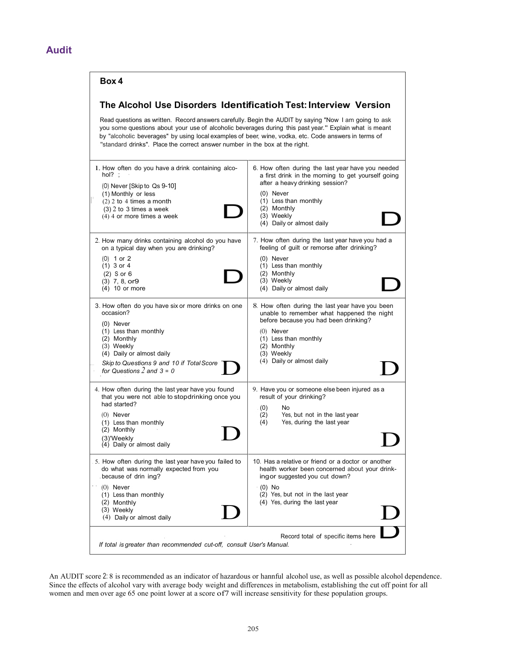## **Audit**

## **Box 4**

## **The Alcohol Use Disorders Identificatioh Test: Interview Version**

Read questions as written. Record answers carefully. Begin the AUDIT by saying "Now I am going to ask you some questions about your use of alcoholic beverages during this past year." Explain what is meant by "alcoholic beverages" by using local examples of beer, wine, vodka, etc. Code answers in terms of "standard drinks". Place the correct answer number in the box at the right.

| 1. How often do you have a drink containing alco-<br>hol? $=$<br>(0) Never [Skip to Qs 9-10]<br>(1) Monthly or less<br>$(2)$ 2 to 4 times a month<br>$(3)$ 2 to 3 times a week<br>(4) 4 or more times a week                                    | 6. How often during the last year have you needed<br>a first drink in the morning to get yourself going<br>after a heavy drinking session?<br>$(0)$ Never<br>(1) Less than monthly<br>(2) Monthly<br>(3) Weekly<br>(4) Daily or almost daily |  |  |  |  |
|-------------------------------------------------------------------------------------------------------------------------------------------------------------------------------------------------------------------------------------------------|----------------------------------------------------------------------------------------------------------------------------------------------------------------------------------------------------------------------------------------------|--|--|--|--|
| 2. How many drinks containing alcohol do you have<br>on a typical day when you are drinking?<br>$(0)$ 1 or 2<br>$(1)$ 3 or 4<br>$(2)$ S or 6<br>$(3)$ 7, 8, or 9<br>$(4)$ 10 or more                                                            | 7. How often during the last year have you had a<br>feeling of guilt or remorse after drinking?<br>$(0)$ Never<br>(1) Less than monthly<br>(2) Monthly<br>(3) Weekly<br>(4) Daily or almost daily                                            |  |  |  |  |
| 3. How often do you have six or more drinks on one<br>occasion?<br>$(0)$ Never<br>(1) Less than monthly<br>(2) Monthly<br>(3) Weekly<br>(4) Daily or almost daily<br>Skip to Questions 9 and 10 if Total Score<br>for Questions $2$ and $3 = 0$ | 8. How often during the last year have you been<br>unable to remember what happened the night<br>before because you had been drinking?<br>$(0)$ Never<br>(1) Less than monthly<br>(2) Monthly<br>(3) Weekly<br>(4) Daily or almost daily     |  |  |  |  |
| 4. How often during the last year have you found<br>that you were not able to stopdrinking once you<br>had started?<br>$(0)$ Never<br>(1) Less than monthly<br>(2) Monthly<br>(3)'Weekly<br>(4) Daily or almost daily                           | 9. Have you or someone else been injured as a<br>result of your drinking?<br>(0)<br>No<br>(2)<br>Yes, but not in the last year<br>Yes, during the last year<br>(4)                                                                           |  |  |  |  |
| 5. How often during the last year have you failed to<br>do what was normally expected from you<br>because of drin ing?<br>$(0)$ Never<br>(1) Less than monthly<br>(2) Monthly<br>(3) Weekly<br>(4) Daily or almost daily                        | 10. Has a relative or friend or a doctor or another<br>health worker been concerned about your drink-<br>ingor suggested you cut down?<br>$(0)$ No<br>(2) Yes, but not in the last year<br>(4) Yes, during the last year                     |  |  |  |  |
| Record total of specific items here<br>If total is greater than recommended cut-off, consult User's Manual.                                                                                                                                     |                                                                                                                                                                                                                                              |  |  |  |  |

An AUDIT score 2: 8 is recommended as an indicator of hazardous or hannful alcohol use, as well as possible alcohol dependence. Since the effects of alcohol vary with average body weight and differences in metabolism, establishing the cut off point for all women and men over age 65 one point lower at a score of7 will increase sensitivity for these population groups.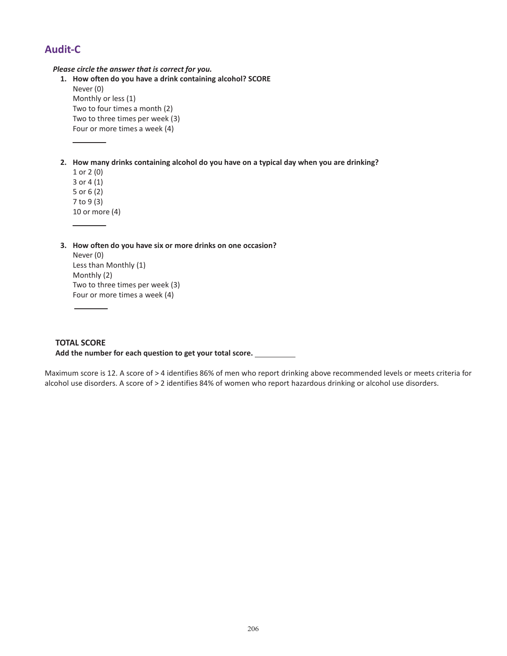## **Audit-C**

*Please circle the answer that is correct for you.*

- **1. How often do you have a drink containing alcohol? SCORE** Never (0) Monthly or less (1) Two to four times a month (2) Two to three times per week (3) Four or more times a week (4)
- **2. How many drinks containing alcohol do you have on a typical day when you are drinking?**
	- 1 or 2 (0) 3 or 4 (1) 5 or 6 (2) 7 to 9 (3) 10 or more (4)
- **3. How often do you have six or more drinks on one occasion?** Never (0) Less than Monthly (1) Monthly (2) Two to three times per week (3) Four or more times a week (4)

## **TOTAL SCORE**

**Add the number for each question to get your total score.** 

Maximum score is 12. A score of > 4 identifies 86% of men who report drinking above recommended levels or meets criteria for alcohol use disorders. A score of > 2 identifies 84% of women who report hazardous drinking or alcohol use disorders.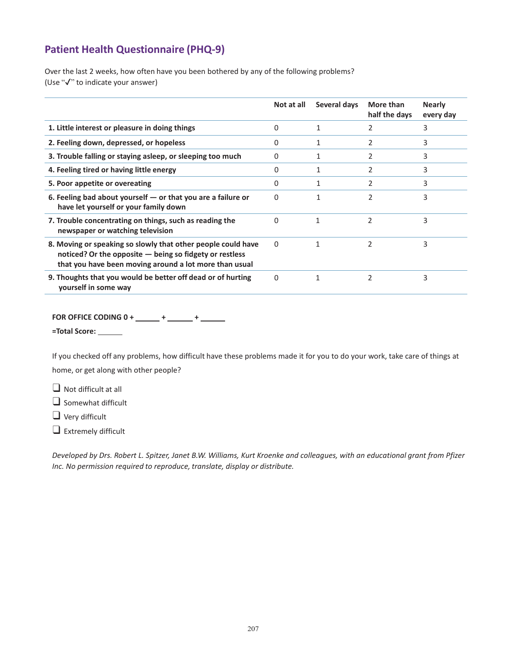## **Patient Health Questionnaire (PHQ-9)**

Over the last 2 weeks, how often have you been bothered by any of the following problems? (Use "✔" to indicate your answer)

|                                                                                                                                                                                     | Not at all | Several days | More than<br>half the days | <b>Nearly</b><br>every day |
|-------------------------------------------------------------------------------------------------------------------------------------------------------------------------------------|------------|--------------|----------------------------|----------------------------|
| 1. Little interest or pleasure in doing things                                                                                                                                      | $\Omega$   | 1            | 2                          | 3                          |
| 2. Feeling down, depressed, or hopeless                                                                                                                                             | 0          | 1            | $\overline{2}$             | 3                          |
| 3. Trouble falling or staying asleep, or sleeping too much                                                                                                                          | $\Omega$   | 1            | 2                          | 3                          |
| 4. Feeling tired or having little energy                                                                                                                                            | 0          | 1            | 2                          | 3                          |
| 5. Poor appetite or overeating                                                                                                                                                      | $\Omega$   | 1            | 2                          | 3                          |
| 6. Feeling bad about yourself $-$ or that you are a failure or<br>have let yourself or your family down                                                                             | $\Omega$   | $\mathbf{1}$ | $\overline{2}$             | 3                          |
| 7. Trouble concentrating on things, such as reading the<br>newspaper or watching television                                                                                         | $\Omega$   | 1            | $\overline{\phantom{a}}$   | 3                          |
| 8. Moving or speaking so slowly that other people could have<br>noticed? Or the opposite $-$ being so fidgety or restless<br>that you have been moving around a lot more than usual | $\Omega$   | 1            | 2                          | 3                          |
| 9. Thoughts that you would be better off dead or of hurting<br>yourself in some way                                                                                                 | $\Omega$   |              | $\overline{\phantom{a}}$   | 3                          |

**FOR OFFICE CODING 0 + \_\_\_\_\_\_ + \_\_\_\_\_\_ + \_\_\_\_\_\_** 

**=Total Score:** 

If you checked off any problems, how difficult have these problems made it for you to do your work, take care of things at home, or get along with other people?

❑ Not difficult at all

❑ Somewhat difficult

❑ Very difficult

❑ Extremely difficult

*Developed by Drs. Robert L. Spitzer, Janet B.W. Williams, Kurt Kroenke and colleagues, with an educational grant from Pfizer Inc. No permission required to reproduce, translate, display or distribute.*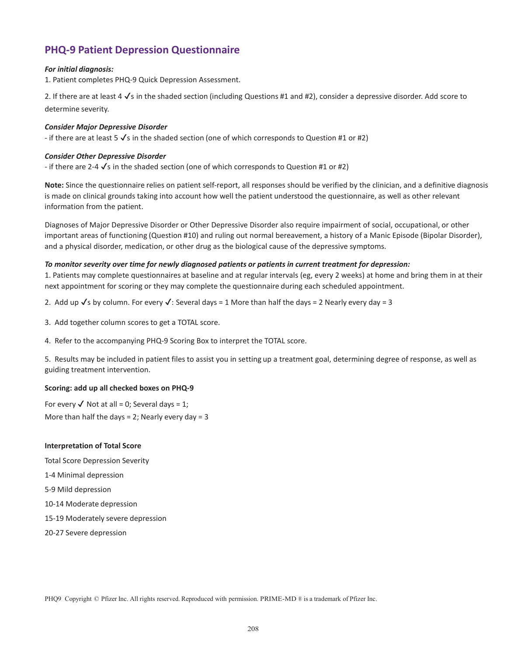## **PHQ-9 Patient Depression Questionnaire**

### *For initial diagnosis:*

1. Patient completes PHQ-9 Quick Depression Assessment.

2. If there are at least 4  $\checkmark$ s in the shaded section (including Questions #1 and #2), consider a depressive disorder. Add score to determine severity.

### *Consider Major Depressive Disorder*

- if there are at least  $5\sqrt{s}$  in the shaded section (one of which corresponds to Question #1 or #2)

### *Consider Other Depressive Disorder*

- if there are 2-4  $\checkmark$ s in the shaded section (one of which corresponds to Question #1 or #2)

**Note:** Since the questionnaire relies on patient self-report, all responses should be verified by the clinician, and a definitive diagnosis is made on clinical grounds taking into account how well the patient understood the questionnaire, as well as other relevant information from the patient.

Diagnoses of Major Depressive Disorder or Other Depressive Disorder also require impairment of social, occupational, or other important areas of functioning (Question #10) and ruling out normal bereavement, a history of a Manic Episode (Bipolar Disorder), and a physical disorder, medication, or other drug as the biological cause of the depressive symptoms.

### *To monitor severity over time for newly diagnosed patients or patients in current treatment for depression:*

1. Patients may complete questionnaires at baseline and at regular intervals (eg, every 2 weeks) at home and bring them in at their next appointment for scoring or they may complete the questionnaire during each scheduled appointment.

2. Add up  $\sqrt{s}$  by column. For every  $\sqrt{s}$ : Several days = 1 More than half the days = 2 Nearly every day = 3

- 3. Add together column scores to get a TOTAL score.
- 4. Refer to the accompanying PHQ-9 Scoring Box to interpret the TOTAL score.

5. Results may be included in patient files to assist you in setting up a treatment goal, determining degree of response, as well as guiding treatment intervention.

## **Scoring: add up all checked boxes on PHQ-9**

For every  $\checkmark$  Not at all = 0; Several days = 1; More than half the days  $= 2$ ; Nearly every day  $= 3$ 

#### **Interpretation of Total Score**

- Total Score Depression Severity
- 1-4 Minimal depression
- 5-9 Mild depression
- 10-14 Moderate depression
- 15-19 Moderately severe depression
- 20-27 Severe depression

PHQ9 Copyright © Pfizer Inc. All rights reserved. Reproduced with permission. PRIME-MD ® is a trademark of Pfizer Inc.